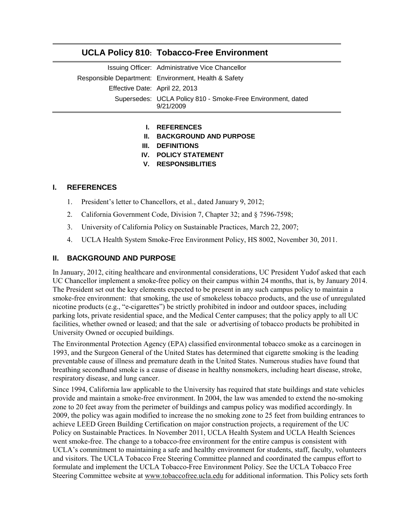# **UCLA Policy 810: Tobacco-Free Environment**

|                                | Issuing Officer: Administrative Vice Chancellor                          |
|--------------------------------|--------------------------------------------------------------------------|
|                                | Responsible Department: Environment, Health & Safety                     |
| Effective Date: April 22, 2013 |                                                                          |
|                                | Supersedes: UCLA Policy 810 - Smoke-Free Environment, dated<br>9/21/2009 |

#### **I. REFERENCES**

- **II. BACKGROUND AND PURPOSE**
- **III. DEFINITIONS**
- **IV. POLICY STATEMENT**
- **V. RESPONSIBLITIES**

## **I. REFERENCES**

- 1. [President's letter to Chancellors, et al., dated January 9, 2012;](https://ccle.ucla.edu/pluginfile.php/95872/mod_resource/content/1/Yudof%20Charge%20to%20Chancellors.pdf)
- 2. [California Government Code, Division 7, Chapter 32; and § 7596-7598;](http://www.leginfo.ca.gov/cgi-bin/calawquery?codesection=gov&codebody=&hits=20)
- 3. [University of California Policy on Sustainable Practices, March 22, 2007;](http://www.ucop.edu/ucophome/coordrev/policy/PP032207policy.pdf)
- 4. [UCLA Health System Smoke-Free Environment](http://www.mednet.ucla.edu/Policies/pdf/enterprise/HS8002.pdf) Policy, HS 8002, November 30, 2011.

# **II. BACKGROUND AND PURPOSE**

In January, 2012, citing healthcare and environmental considerations, UC President Yudof asked that each UC Chancellor implement a smoke-free policy on their campus within 24 months, that is, by January 2014. The President set out the key elements expected to be present in any such campus policy to maintain a smoke-free environment: that smoking, the use of smokeless tobacco products, and the use of unregulated nicotine products (e.g., "e-cigarettes") be strictly prohibited in indoor and outdoor spaces, including parking lots, private residential space, and the Medical Center campuses; that the policy apply to all UC facilities, whether owned or leased; and that the sale or advertising of tobacco products be prohibited in University Owned or occupied buildings.

The Environmental Protection Agency (EPA) classified environmental tobacco smoke as a carcinogen in 1993, and the Surgeon General of the United States has determined that cigarette smoking is the leading preventable cause of illness and premature death in the United States. Numerous studies have found that breathing secondhand smoke is a cause of disease in healthy nonsmokers, including heart disease, stroke, respiratory disease, and lung cancer.

Since 1994, California law applicable to the University has required that state buildings and state vehicles provide and maintain a smoke-free environment. In 2004, the law was amended to extend the no-smoking zone to 20 feet away from the perimeter of buildings and campus policy was modified accordingly. In 2009, the policy was again modified to increase the no smoking zone to 25 feet from building entrances to achieve LEED Green Building Certification on major construction projects, a requirement of the UC Policy on Sustainable Practices. In November 2011, UCLA Health System and UCLA Health Sciences went smoke-free. The change to a tobacco-free environment for the entire campus is consistent with UCLA's commitment to maintaining a safe and healthy environment for students, staff, faculty, volunteers and visitors. The UCLA Tobacco Free Steering Committee planned and coordinated the campus effort to formulate and implement the UCLA Tobacco-Free Environment Policy. See the UCLA Tobacco Free Steering Committee website at [www.tobaccofree.ucla.edu](http://www.tobaccofree.ucla.edu/) for additional information. This Policy sets forth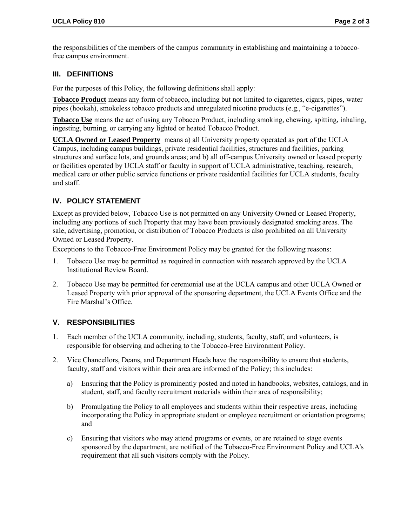the responsibilities of the members of the campus community in establishing and maintaining a tobaccofree campus environment.

## **III. DEFINITIONS**

For the purposes of this Policy, the following definitions shall apply:

**Tobacco Product** means any form of tobacco, including but not limited to cigarettes, cigars, pipes, water pipes (hookah), smokeless tobacco products and unregulated nicotine products (e.g., "e-cigarettes").

**Tobacco Use** means the act of using any Tobacco Product, including smoking, chewing, spitting, inhaling, ingesting, burning, or carrying any lighted or heated Tobacco Product.

**UCLA Owned or Leased Property** means a) all University property operated as part of the UCLA Campus, including campus buildings, private residential facilities, structures and facilities, parking structures and surface lots, and grounds areas; and b) all off-campus University owned or leased property or facilities operated by UCLA staff or faculty in support of UCLA administrative, teaching, research, medical care or other public service functions or private residential facilities for UCLA students, faculty and staff.

# **IV. POLICY STATEMENT**

Except as provided below, Tobacco Use is not permitted on any University Owned or Leased Property, including any portions of such Property that may have been previously designated smoking areas. The sale, advertising, promotion, or distribution of Tobacco Products is also prohibited on all University Owned or Leased Property.

Exceptions to the Tobacco-Free Environment Policy may be granted for the following reasons:

- 1. Tobacco Use may be permitted as required in connection with research approved by the UCLA Institutional Review Board.
- 2. Tobacco Use may be permitted for ceremonial use at the UCLA campus and other UCLA Owned or Leased Property with prior approval of the sponsoring department, the UCLA Events Office and the Fire Marshal's Office.

## **V. RESPONSIBILITIES**

- 1. Each member of the UCLA community, including, students, faculty, staff, and volunteers, is responsible for observing and adhering to the Tobacco-Free Environment Policy.
- 2. Vice Chancellors, Deans, and Department Heads have the responsibility to ensure that students, faculty, staff and visitors within their area are informed of the Policy; this includes:
	- a) Ensuring that the Policy is prominently posted and noted in handbooks, websites, catalogs, and in student, staff, and faculty recruitment materials within their area of responsibility;
	- b) Promulgating the Policy to all employees and students within their respective areas, including incorporating the Policy in appropriate student or employee recruitment or orientation programs; and
	- c) Ensuring that visitors who may attend programs or events, or are retained to stage events sponsored by the department, are notified of the Tobacco-Free Environment Policy and UCLA's requirement that all such visitors comply with the Policy.